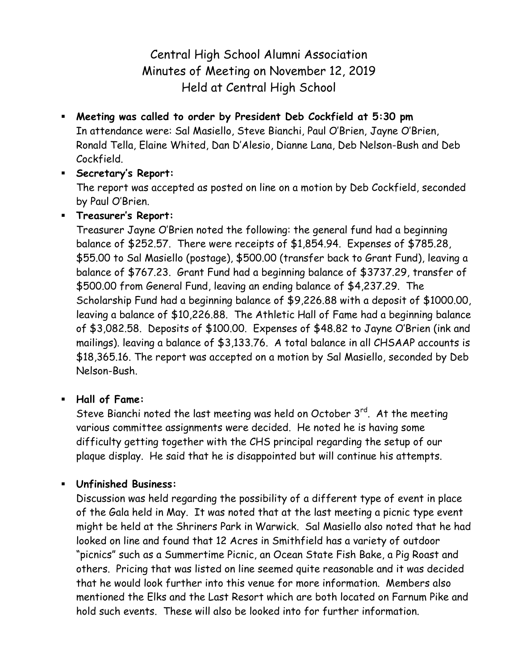Central High School Alumni Association Minutes of Meeting on November 12, 2019 Held at Central High School

 **Meeting was called to order by President Deb Cockfield at 5:30 pm** In attendance were: Sal Masiello, Steve Bianchi, Paul O'Brien, Jayne O'Brien, Ronald Tella, Elaine Whited, Dan D'Alesio, Dianne Lana, Deb Nelson-Bush and Deb Cockfield.

## **Secretary's Report:**

The report was accepted as posted on line on a motion by Deb Cockfield, seconded by Paul O'Brien.

# **Treasurer's Report:**

Treasurer Jayne O'Brien noted the following: the general fund had a beginning balance of \$252.57. There were receipts of \$1,854.94. Expenses of \$785.28, \$55.00 to Sal Masiello (postage), \$500.00 (transfer back to Grant Fund), leaving a balance of \$767.23. Grant Fund had a beginning balance of \$3737.29, transfer of \$500.00 from General Fund, leaving an ending balance of \$4,237.29. The Scholarship Fund had a beginning balance of \$9,226.88 with a deposit of \$1000.00, leaving a balance of \$10,226.88. The Athletic Hall of Fame had a beginning balance of \$3,082.58. Deposits of \$100.00. Expenses of \$48.82 to Jayne O'Brien (ink and mailings). leaving a balance of \$3,133.76. A total balance in all CHSAAP accounts is \$18,365.16. The report was accepted on a motion by Sal Masiello, seconded by Deb Nelson-Bush.

## **Hall of Fame:**

Steve Bianchi noted the last meeting was held on October 3rd. At the meeting various committee assignments were decided. He noted he is having some difficulty getting together with the CHS principal regarding the setup of our plaque display. He said that he is disappointed but will continue his attempts.

## **Unfinished Business:**

Discussion was held regarding the possibility of a different type of event in place of the Gala held in May. It was noted that at the last meeting a picnic type event might be held at the Shriners Park in Warwick. Sal Masiello also noted that he had looked on line and found that 12 Acres in Smithfield has a variety of outdoor "picnics" such as a Summertime Picnic, an Ocean State Fish Bake, a Pig Roast and others. Pricing that was listed on line seemed quite reasonable and it was decided that he would look further into this venue for more information. Members also mentioned the Elks and the Last Resort which are both located on Farnum Pike and hold such events. These will also be looked into for further information.